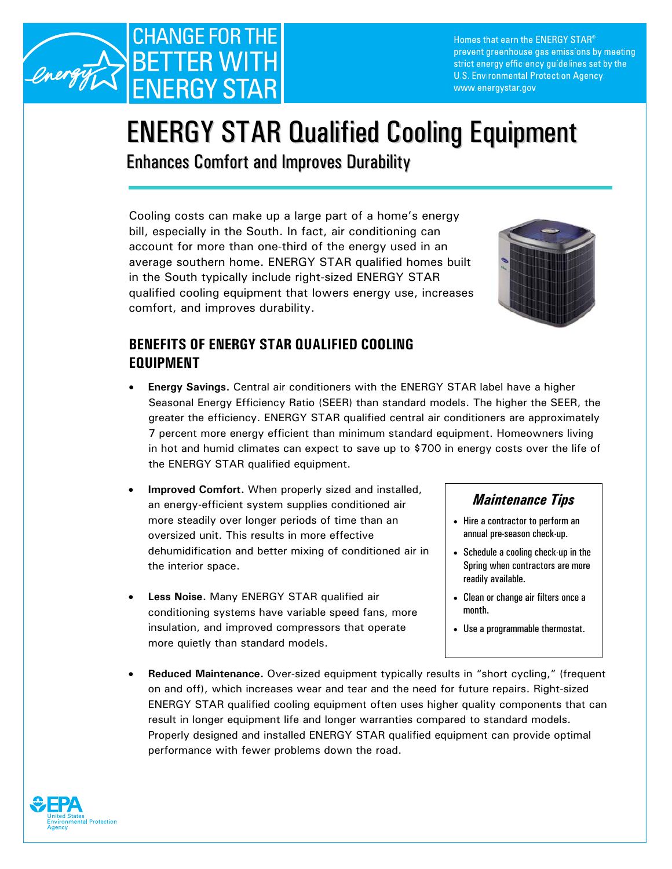

Homes that earn the ENERGY STAR® prevent greenhouse gas emissions by meeting strict energy efficiency guidelines set by the U.S. Environmental Protection Agency. www.energystar.gov

# ENERGY STAR Qualified Cooling Equipment

Enhances Comfort and Improves Durability

Cooling costs can make up a large part of a home's energy bill, especially in the South. In fact, air conditioning can account for more than one-third of the energy used in an average southern home. ENERGY STAR qualified homes built in the South typically include right-sized ENERGY STAR qualified cooling equipment that lowers energy use, increases comfort, and improves durability.



# **BENEFITS OF ENERGY STAR QUALIFIED COOLING EQUIPMENT**

- **Energy Savings.** Central air conditioners with the ENERGY STAR label have a higher Seasonal Energy Efficiency Ratio (SEER) than standard models. The higher the SEER, the greater the efficiency. ENERGY STAR qualified central air conditioners are approximately 7 percent more energy efficient than minimum standard equipment. Homeowners living in hot and humid climates can expect to save up to \$700 in energy costs over the life of the ENERGY STAR qualified equipment.
- **Improved Comfort.** When properly sized and installed, an energy-efficient system supplies conditioned air *Maintenance Tips*  more steadily over longer periods of time than an  $\vert \cdot \vert$  Hire a contractor to perform an oversized unit. This results in more effective annual pre-season check-up. dehumidification and better mixing of conditioned air in  $\|\cdot\|$  Schedule a cooling check-up in the the interior space. The interior space is a set of the interior space.
- **Less Noise.** Many ENERGY STAR qualified air **•** Clean or change air filters once a conditioning systems have variable speed fans, more | month. insulation, and improved compressors that operate  $\|\cdot\|$  Use a programmable thermostat. more quietly than standard models.

- 
- readily available.
- 
- 
- **Reduced Maintenance.** Over-sized equipment typically results in "short cycling," (frequent on and off), which increases wear and tear and the need for future repairs. Right-sized ENERGY STAR qualified cooling equipment often uses higher quality components that can result in longer equipment life and longer warranties compared to standard models. Properly designed and installed ENERGY STAR qualified equipment can provide optimal performance with fewer problems down the road.